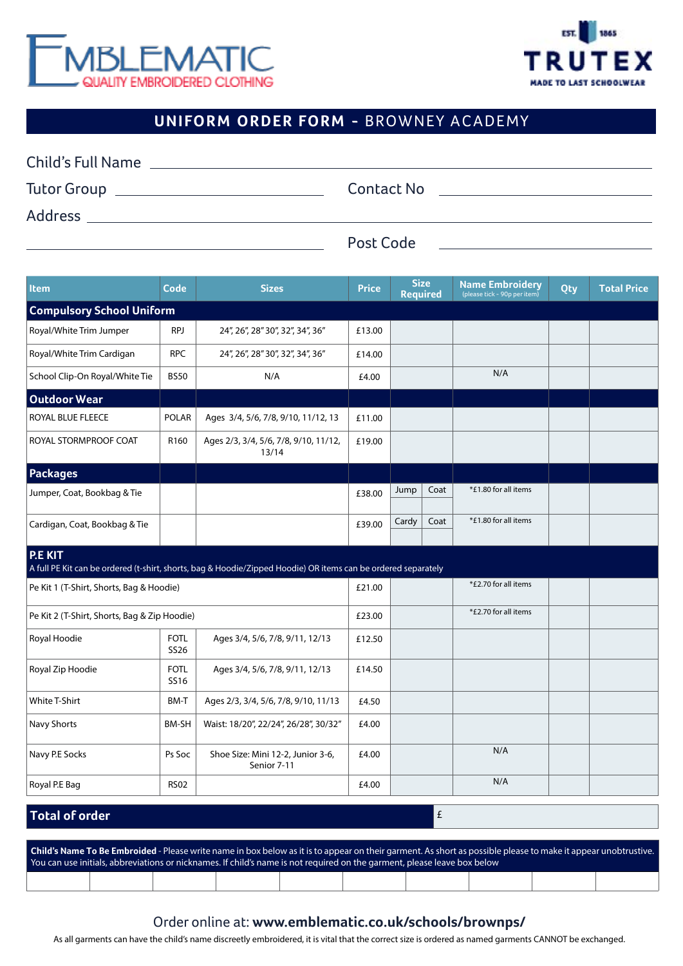



## **UNIFORM ORDER FORM -** BROWNEY ACADEMY

| <b>Child's Full Name</b> |            |  |
|--------------------------|------------|--|
| Tutor Group              | Contact No |  |
| Address                  |            |  |
|                          | Post Code  |  |

| <b>Item</b>                                                                                                              | Code                | <b>Sizes</b>                                     | <b>Price</b> | <b>Size</b><br><b>Required</b> | <b>Name Embroidery</b><br>(please tick - 90p per item) | <b>Qty</b> | <b>Total Price</b> |  |  |  |
|--------------------------------------------------------------------------------------------------------------------------|---------------------|--------------------------------------------------|--------------|--------------------------------|--------------------------------------------------------|------------|--------------------|--|--|--|
| <b>Compulsory School Uniform</b>                                                                                         |                     |                                                  |              |                                |                                                        |            |                    |  |  |  |
| Royal/White Trim Jumper                                                                                                  | <b>RPJ</b>          | 24", 26", 28" 30", 32", 34", 36"                 | £13.00       |                                |                                                        |            |                    |  |  |  |
| Royal/White Trim Cardigan                                                                                                | <b>RPC</b>          | 24", 26", 28" 30", 32", 34", 36"                 | £14.00       |                                |                                                        |            |                    |  |  |  |
| School Clip-On Royal/White Tie                                                                                           | <b>BS50</b>         | N/A                                              | £4.00        |                                | N/A                                                    |            |                    |  |  |  |
| <b>Outdoor Wear</b>                                                                                                      |                     |                                                  |              |                                |                                                        |            |                    |  |  |  |
| ROYAL BLUE FLEECE                                                                                                        | <b>POLAR</b>        | Ages 3/4, 5/6, 7/8, 9/10, 11/12, 13              | £11.00       |                                |                                                        |            |                    |  |  |  |
| ROYAL STORMPROOF COAT                                                                                                    | R <sub>160</sub>    | Ages 2/3, 3/4, 5/6, 7/8, 9/10, 11/12,<br>13/14   | £19.00       |                                |                                                        |            |                    |  |  |  |
| <b>Packages</b>                                                                                                          |                     |                                                  |              |                                |                                                        |            |                    |  |  |  |
| Jumper, Coat, Bookbag & Tie                                                                                              |                     |                                                  | £38.00       | Coat<br>Jump                   | *£1.80 for all items                                   |            |                    |  |  |  |
| Cardigan, Coat, Bookbag & Tie                                                                                            |                     |                                                  | £39.00       | Coat<br>Cardy                  | *£1.80 for all items                                   |            |                    |  |  |  |
| P.E KIT<br>A full PE Kit can be ordered (t-shirt, shorts, bag & Hoodie/Zipped Hoodie) OR items can be ordered separately |                     |                                                  |              |                                |                                                        |            |                    |  |  |  |
| Pe Kit 1 (T-Shirt, Shorts, Bag & Hoodie)                                                                                 |                     | £21.00                                           |              | *£2.70 for all items           |                                                        |            |                    |  |  |  |
| Pe Kit 2 (T-Shirt, Shorts, Bag & Zip Hoodie)                                                                             |                     |                                                  | £23.00       |                                | *£2.70 for all items                                   |            |                    |  |  |  |
| Royal Hoodie                                                                                                             | <b>FOTL</b><br>SS26 | Ages 3/4, 5/6, 7/8, 9/11, 12/13                  | £12.50       |                                |                                                        |            |                    |  |  |  |
| Royal Zip Hoodie                                                                                                         | <b>FOTL</b><br>SS16 | Ages 3/4, 5/6, 7/8, 9/11, 12/13                  | £14.50       |                                |                                                        |            |                    |  |  |  |
| <b>White T-Shirt</b>                                                                                                     | BM-T                | Ages 2/3, 3/4, 5/6, 7/8, 9/10, 11/13             | £4.50        |                                |                                                        |            |                    |  |  |  |
| Navy Shorts                                                                                                              | BM-SH               | Waist: 18/20", 22/24", 26/28", 30/32"            | £4.00        |                                |                                                        |            |                    |  |  |  |
| Navy P.E Socks                                                                                                           | Ps Soc              | Shoe Size: Mini 12-2, Junior 3-6,<br>Senior 7-11 | £4.00        |                                | N/A                                                    |            |                    |  |  |  |
| Royal P.E Bag                                                                                                            | <b>RS02</b>         |                                                  | £4.00        |                                | N/A                                                    |            |                    |  |  |  |
| <b>Total of order</b>                                                                                                    |                     |                                                  |              | £                              |                                                        |            |                    |  |  |  |

#### **Child's Name To Be Embroided** - Please write name in box below as it is to appear on their garment. As short as possible please to make it appear unobtrustive. You can use initials, abbreviations or nicknames. If child's name is not required on the garment, please leave box below

### Order online at: **www.emblematic.co.uk/schools/brownps/**

As all garments can have the child's name discreetly embroidered, it is vital that the correct size is ordered as named garments CANNOT be exchanged.